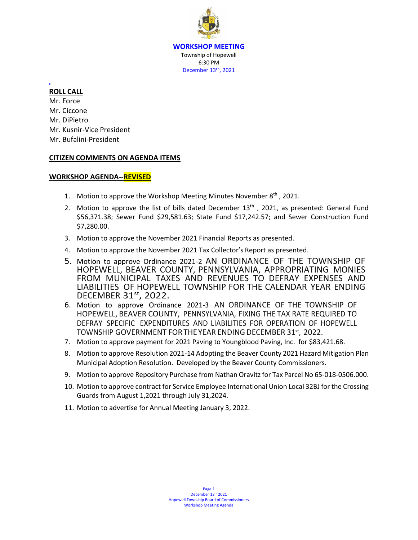**WORKSHOP MEETING** Township of Hopewell 6:30 PM December 13<sup>th</sup>, 2021

#### r **ROLL CALL**

Mr. Force Mr. Ciccone Mr. DiPietro Mr. Kusnir-Vice President Mr. Bufalini-President

## **CITIZEN COMMENTS ON AGENDA ITEMS**

## **WORKSHOP AGENDA--REVISED**

- 1. Motion to approve the Workshop Meeting Minutes November 8<sup>th</sup>, 2021.
- 2. Motion to approve the list of bills dated December  $13<sup>th</sup>$ , 2021, as presented: General Fund \$56,371.38; Sewer Fund \$29,581.63; State Fund \$17,242.57; and Sewer Construction Fund \$7,280.00.
- 3. Motion to approve the November 2021 Financial Reports as presented.
- 4. Motion to approve the November 2021 Tax Collector's Report as presented.
- 5. Motion to approve Ordinance 2021-2 AN ORDINANCE OF THE TOWNSHIP OF HOPEWELL, BEAVER COUNTY, PENNSYLVANIA, APPROPRIATING MONIES FROM MUNICIPAL TAXES AND REVENUES TO DEFRAY EXPENSES AND LIABILITIES OF HOPEWELL TOWNSHIP FOR THE CALENDAR YEAR ENDING DECEMBER 31st, 2022.
- 6. Motion to approve Ordinance 2021-3 AN ORDINANCE OF THE TOWNSHIP OF HOPEWELL, BEAVER COUNTY, PENNSYLVANIA, FIXING THE TAX RATE REQUIRED TO DEFRAY SPECIFIC EXPENDITURES AND LIABILITIES FOR OPERATION OF HOPEWELL TOWNSHIP GOVERNMENT FOR THE YEAR ENDING DECEMBER 31st, 2022.
- 7. Motion to approve payment for 2021 Paving to Youngblood Paving, Inc. for \$83,421.68.
- 8. Motion to approve Resolution 2021-14 Adopting the Beaver County 2021 Hazard Mitigation Plan Municipal Adoption Resolution. Developed by the Beaver County Commissioners.
- 9. Motion to approve Repository Purchase from Nathan Oravitz for Tax Parcel No 65-018-0506.000.
- 10. Motion to approve contract for Service Employee International Union Local 32BJ for the Crossing Guards from August 1,2021 through July 31,2024.
- 11. Motion to advertise for Annual Meeting January 3, 2022.